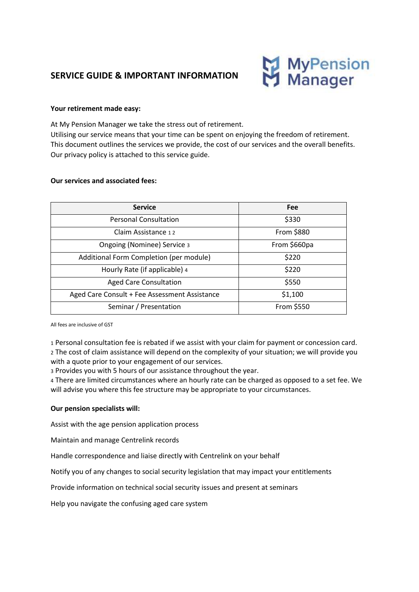# **SERVICE GUIDE & IMPORTANT INFORMATION**



#### **Your retirement made easy:**

At My Pension Manager we take the stress out of retirement. Utilising our service means that your time can be spent on enjoying the freedom of retirement. This document outlines the services we provide, the cost of our services and the overall benefits. Our privacy policy is attached to this service guide.

#### **Our services and associated fees:**

| <b>Service</b>                                | <b>Fee</b>   |
|-----------------------------------------------|--------------|
| <b>Personal Consultation</b>                  | \$330        |
| Claim Assistance 12                           | From \$880   |
| Ongoing (Nominee) Service 3                   | From \$660pa |
| Additional Form Completion (per module)       | \$220        |
| Hourly Rate (if applicable) 4                 | \$220        |
| <b>Aged Care Consultation</b>                 | \$550        |
| Aged Care Consult + Fee Assessment Assistance | \$1,100      |
| Seminar / Presentation                        | From \$550   |

All fees are inclusive of GST

1 Personal consultation fee is rebated if we assist with your claim for payment or concession card. 2 The cost of claim assistance will depend on the complexity of your situation; we will provide you with a quote prior to your engagement of our services.

3 Provides you with 5 hours of our assistance throughout the year.

4 There are limited circumstances where an hourly rate can be charged as opposed to a set fee. We will advise you where this fee structure may be appropriate to your circumstances.

#### **Our pension specialists will:**

Assist with the age pension application process

Maintain and manage Centrelink records

Handle correspondence and liaise directly with Centrelink on your behalf

Notify you of any changes to social security legislation that may impact your entitlements

Provide information on technical social security issues and present at seminars

Help you navigate the confusing aged care system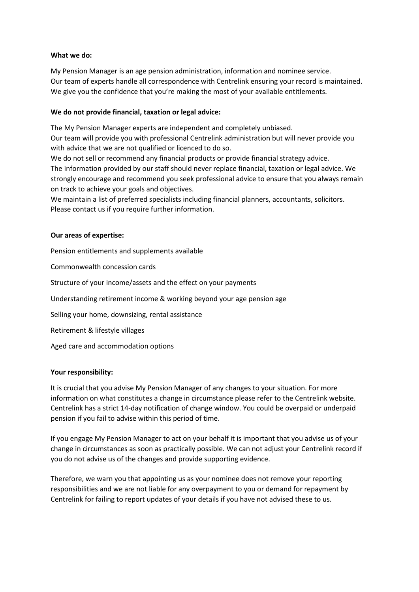## **What we do:**

My Pension Manager is an age pension administration, information and nominee service. Our team of experts handle all correspondence with Centrelink ensuring your record is maintained. We give you the confidence that you're making the most of your available entitlements.

# **We do not provide financial, taxation or legal advice:**

The My Pension Manager experts are independent and completely unbiased. Our team will provide you with professional Centrelink administration but will never provide you with advice that we are not qualified or licenced to do so.

We do not sell or recommend any financial products or provide financial strategy advice. The information provided by our staff should never replace financial, taxation or legal advice. We strongly encourage and recommend you seek professional advice to ensure that you always remain on track to achieve your goals and objectives.

We maintain a list of preferred specialists including financial planners, accountants, solicitors. Please contact us if you require further information.

## **Our areas of expertise:**

Pension entitlements and supplements available

Commonwealth concession cards

Structure of your income/assets and the effect on your payments

Understanding retirement income & working beyond your age pension age

Selling your home, downsizing, rental assistance

Retirement & lifestyle villages

Aged care and accommodation options

#### **Your responsibility:**

It is crucial that you advise My Pension Manager of any changes to your situation. For more information on what constitutes a change in circumstance please refer to the Centrelink website. Centrelink has a strict 14-day notification of change window. You could be overpaid or underpaid pension if you fail to advise within this period of time.

If you engage My Pension Manager to act on your behalf it is important that you advise us of your change in circumstances as soon as practically possible. We can not adjust your Centrelink record if you do not advise us of the changes and provide supporting evidence.

Therefore, we warn you that appointing us as your nominee does not remove your reporting responsibilities and we are not liable for any overpayment to you or demand for repayment by Centrelink for failing to report updates of your details if you have not advised these to us.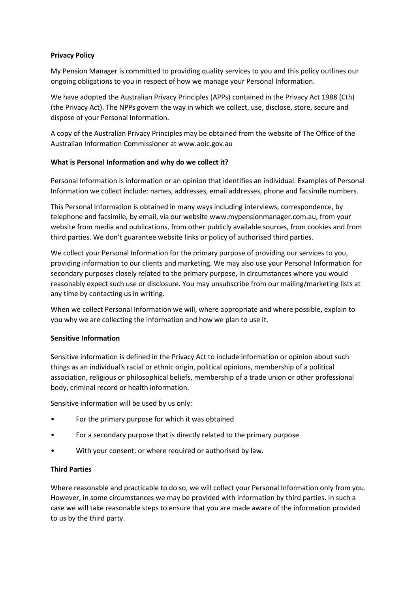## **Privacy Policy**

My Pension Manager is committed to providing quality services to you and this policy outlines our ongoing obligations to you in respect of how we manage your Personal Information.

We have adopted the Australian Privacy Principles (APPs) contained in the Privacy Act 1988 (Cth) (the Privacy Act). The NPPs govern the way in which we collect, use, disclose, store, secure and dispose of your Personal Information.

A copy of the Australian Privacy Principles may be obtained from the website of The Office of the Australian Information Commissioner at www.aoic.gov.au

## **What is Personal Information and why do we collect it?**

Personal Information is information or an opinion that identifies an individual. Examples of Personal Information we collect include: names, addresses, email addresses, phone and facsimile numbers.

This Personal Information is obtained in many ways including interviews, correspondence, by telephone and facsimile, by email, via our website [www.mypensionmanager.com.au,](http://www.mypensionmanager.com.au/) from your website from media and publications, from other publicly available sources, from cookies and from third parties. We don't guarantee website links or policy of authorised third parties.

We collect your Personal Information for the primary purpose of providing our services to you, providing information to our clients and marketing. We may also use your Personal Information for secondary purposes closely related to the primary purpose, in circumstances where you would reasonably expect such use or disclosure. You may unsubscribe from our mailing/marketing lists at any time by contacting us in writing.

When we collect Personal Information we will, where appropriate and where possible, explain to you why we are collecting the information and how we plan to use it.

#### **Sensitive Information**

Sensitive information is defined in the Privacy Act to include information or opinion about such things as an individual's racial or ethnic origin, political opinions, membership of a political association, religious or philosophical beliefs, membership of a trade union or other professional body, criminal record or health information.

Sensitive information will be used by us only:

- For the primary purpose for which it was obtained
- For a secondary purpose that is directly related to the primary purpose
- With your consent; or where required or authorised by law.

#### **Third Parties**

Where reasonable and practicable to do so, we will collect your Personal Information only from you. However, in some circumstances we may be provided with information by third parties. In such a case we will take reasonable steps to ensure that you are made aware of the information provided to us by the third party.